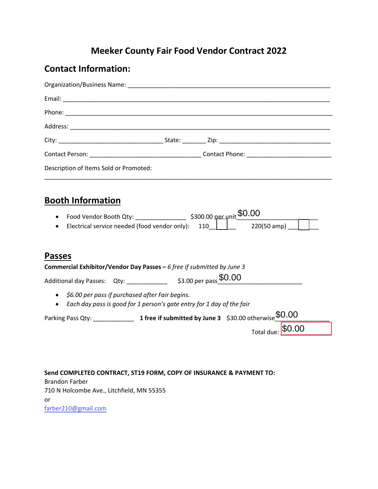## **Meeker County Fair Food Vendor Contract 2022**

## **Contact Information:**

| Description of Items Sold or Promoted:                                                                                                  |                                                                     |
|-----------------------------------------------------------------------------------------------------------------------------------------|---------------------------------------------------------------------|
| <b>Booth Information</b><br>$\bullet$<br>$\bullet$                                                                                      |                                                                     |
| <b>Passes</b><br>Commercial Exhibitor/Vendor Day Passes - 6 free if submitted by June 3                                                 |                                                                     |
|                                                                                                                                         | Additional day Passes: Qty: ________________ \$3.00 per pass \$0.00 |
| • \$6.00 per pass if purchased after Fair begins.<br>Each day pass is good for 1 person's gate entry for 1 day of the fair<br>$\bullet$ |                                                                     |
|                                                                                                                                         |                                                                     |
|                                                                                                                                         | Total due: \$0.00                                                   |

**Send COMPLETED CONTRACT, ST19 FORM, COPY OF INSURANCE & PAYMENT TO:** Brandon Farber 710 N Holcombe Ave., Litchfield, MN 55355 or farber210@gmail.com